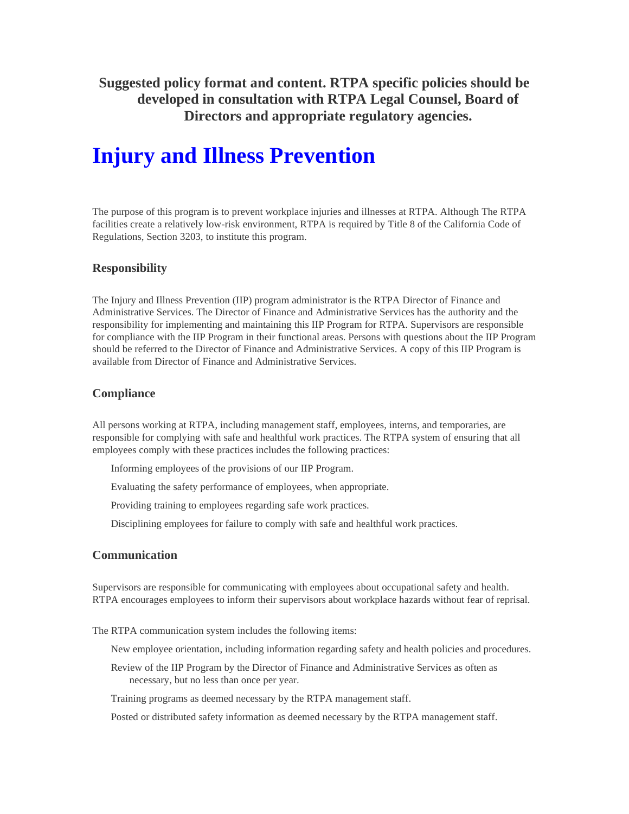**Suggested policy format and content. RTPA specific policies should be developed in consultation with RTPA Legal Counsel, Board of Directors and appropriate regulatory agencies.** 

# **Injury and Illness Prevention**

The purpose of this program is to prevent workplace injuries and illnesses at RTPA. Although The RTPA facilities create a relatively low-risk environment, RTPA is required by Title 8 of the California Code of Regulations, Section 3203, to institute this program.

# **Responsibility**

The Injury and Illness Prevention (IIP) program administrator is the RTPA Director of Finance and Administrative Services. The Director of Finance and Administrative Services has the authority and the responsibility for implementing and maintaining this IIP Program for RTPA. Supervisors are responsible for compliance with the IIP Program in their functional areas. Persons with questions about the IIP Program should be referred to the Director of Finance and Administrative Services. A copy of this IIP Program is available from Director of Finance and Administrative Services.

# **Compliance**

All persons working at RTPA, including management staff, employees, interns, and temporaries, are responsible for complying with safe and healthful work practices. The RTPA system of ensuring that all employees comply with these practices includes the following practices:

Informing employees of the provisions of our IIP Program.

Evaluating the safety performance of employees, when appropriate.

Providing training to employees regarding safe work practices.

Disciplining employees for failure to comply with safe and healthful work practices.

# **Communication**

Supervisors are responsible for communicating with employees about occupational safety and health. RTPA encourages employees to inform their supervisors about workplace hazards without fear of reprisal.

The RTPA communication system includes the following items:

New employee orientation, including information regarding safety and health policies and procedures.

Review of the IIP Program by the Director of Finance and Administrative Services as often as necessary, but no less than once per year.

Training programs as deemed necessary by the RTPA management staff.

Posted or distributed safety information as deemed necessary by the RTPA management staff.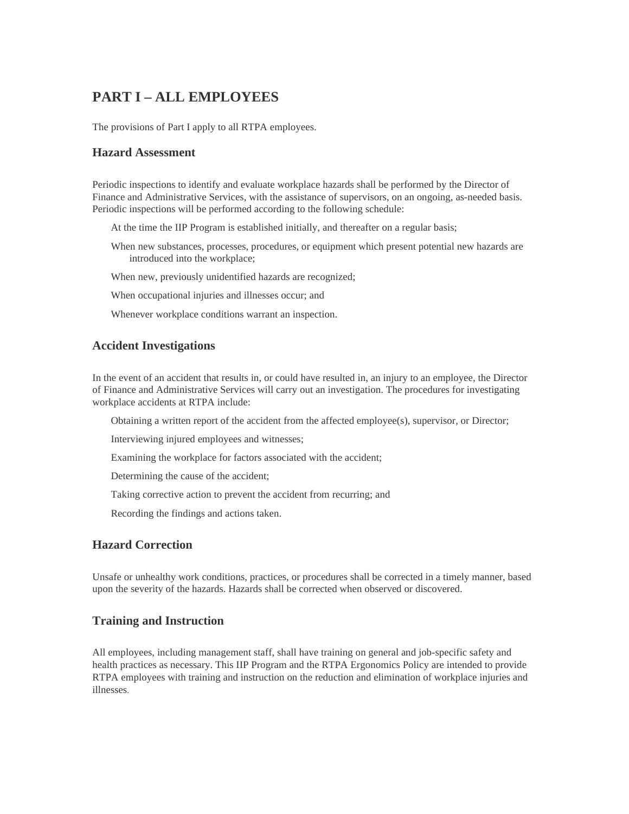# **PART I – ALL EMPLOYEES**

The provisions of Part I apply to all RTPA employees.

# **Hazard Assessment**

Periodic inspections to identify and evaluate workplace hazards shall be performed by the Director of Finance and Administrative Services, with the assistance of supervisors, on an ongoing, as-needed basis. Periodic inspections will be performed according to the following schedule:

At the time the IIP Program is established initially, and thereafter on a regular basis;

When new substances, processes, procedures, or equipment which present potential new hazards are introduced into the workplace;

When new, previously unidentified hazards are recognized;

When occupational injuries and illnesses occur; and

Whenever workplace conditions warrant an inspection.

# **Accident Investigations**

In the event of an accident that results in, or could have resulted in, an injury to an employee, the Director of Finance and Administrative Services will carry out an investigation. The procedures for investigating workplace accidents at RTPA include:

Obtaining a written report of the accident from the affected employee(s), supervisor, or Director;

Interviewing injured employees and witnesses;

Examining the workplace for factors associated with the accident;

Determining the cause of the accident;

Taking corrective action to prevent the accident from recurring; and

Recording the findings and actions taken.

# **Hazard Correction**

Unsafe or unhealthy work conditions, practices, or procedures shall be corrected in a timely manner, based upon the severity of the hazards. Hazards shall be corrected when observed or discovered.

# **Training and Instruction**

All employees, including management staff, shall have training on general and job-specific safety and health practices as necessary. This IIP Program and the RTPA Ergonomics Policy are intended to provide RTPA employees with training and instruction on the reduction and elimination of workplace injuries and illnesses.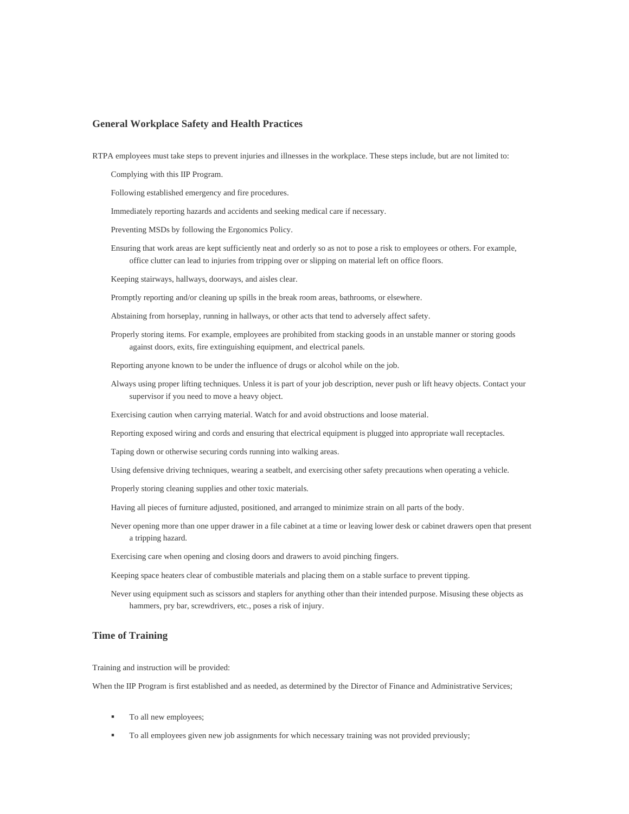#### **General Workplace Safety and Health Practices**

RTPA employees must take steps to prevent injuries and illnesses in the workplace. These steps include, but are not limited to:

Complying with this IIP Program.

Following established emergency and fire procedures.

Immediately reporting hazards and accidents and seeking medical care if necessary.

- Preventing MSDs by following the Ergonomics Policy.
- Ensuring that work areas are kept sufficiently neat and orderly so as not to pose a risk to employees or others. For example, office clutter can lead to injuries from tripping over or slipping on material left on office floors.

Keeping stairways, hallways, doorways, and aisles clear.

Promptly reporting and/or cleaning up spills in the break room areas, bathrooms, or elsewhere.

Abstaining from horseplay, running in hallways, or other acts that tend to adversely affect safety.

Properly storing items. For example, employees are prohibited from stacking goods in an unstable manner or storing goods against doors, exits, fire extinguishing equipment, and electrical panels.

Reporting anyone known to be under the influence of drugs or alcohol while on the job.

Always using proper lifting techniques. Unless it is part of your job description, never push or lift heavy objects. Contact your supervisor if you need to move a heavy object.

Exercising caution when carrying material. Watch for and avoid obstructions and loose material.

Reporting exposed wiring and cords and ensuring that electrical equipment is plugged into appropriate wall receptacles.

Taping down or otherwise securing cords running into walking areas.

Using defensive driving techniques, wearing a seatbelt, and exercising other safety precautions when operating a vehicle.

Properly storing cleaning supplies and other toxic materials.

Having all pieces of furniture adjusted, positioned, and arranged to minimize strain on all parts of the body.

Never opening more than one upper drawer in a file cabinet at a time or leaving lower desk or cabinet drawers open that present a tripping hazard.

Exercising care when opening and closing doors and drawers to avoid pinching fingers.

Keeping space heaters clear of combustible materials and placing them on a stable surface to prevent tipping.

Never using equipment such as scissors and staplers for anything other than their intended purpose. Misusing these objects as hammers, pry bar, screwdrivers, etc., poses a risk of injury.

#### **Time of Training**

Training and instruction will be provided:

When the IIP Program is first established and as needed, as determined by the Director of Finance and Administrative Services;

- To all new employees;
- To all employees given new job assignments for which necessary training was not provided previously;